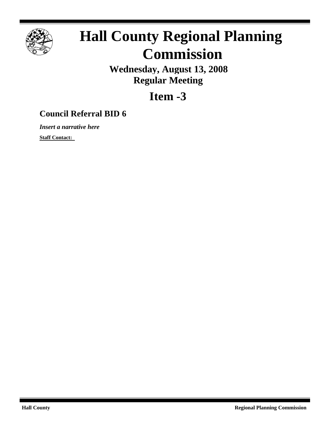

# **Hall County Regional Planning Commission**

**Wednesday, August 13, 2008 Regular Meeting**

## **Item -3**

### **Council Referral BID 6**

*Insert a narrative here*

**Staff Contact:**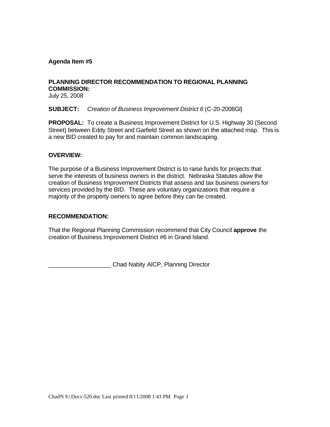#### **Agenda Item #5**

#### **PLANNING DIRECTOR RECOMMENDATION TO REGIONAL PLANNING COMMISSION:**

July 25, 2008

**SUBJECT:** *Creation of Business Improvement District 6* (C-20-2008GI)

**PROPOSAL:** To create a Business Improvement District for U.S. Highway 30 (Second Street) between Eddy Street and Garfield Street as shown on the attached map. This is a new BID created to pay for and maintain common landscaping.

#### **OVERVIEW:**

The purpose of a Business Improvement District is to raise funds for projects that serve the interests of business owners in the district. Nebraska Statutes allow the creation of Business Improvement Districts that assess and tax business owners for services provided by the BID. These are voluntary organizations that require a majority of the property owners to agree before they can be created.

#### **RECOMMENDATION:**

That the Regional Planning Commission recommend that City Council **approve** the creation of Business Improvement District #6 in Grand Island.

\_\_\_\_\_\_\_\_\_\_\_\_\_\_\_\_\_\_\_ Chad Nabity AICP, Planning Director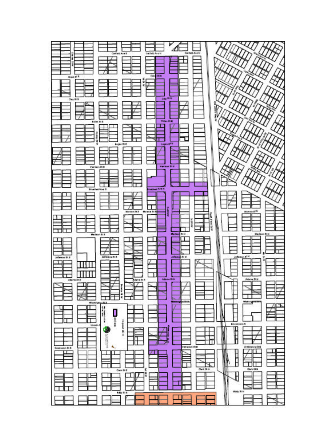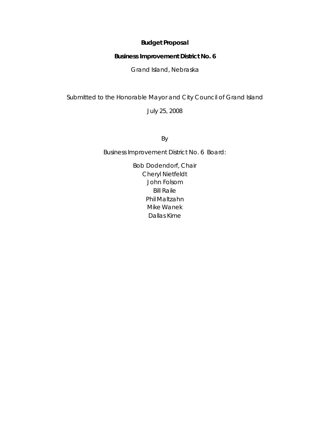#### **Budget Proposal**

#### **Business Improvement District No. 6**

Grand Island, Nebraska

Submitted to the Honorable Mayor and City Council of Grand Island

July 25, 2008

By

Business Improvement District No. 6 Board:

Bob Dodendorf, Chair Cheryl Nietfeldt John Folsom Bill Raile Phil Maltzahn Mike Wanek Dallas Kime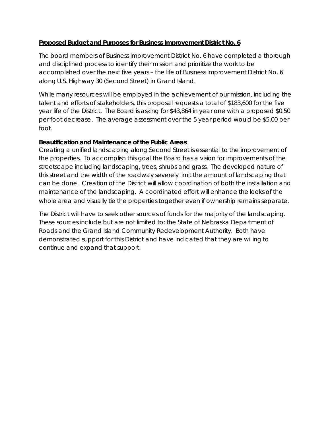#### **Proposed Budget and Purposes for Business Improvement District No. 6**

The board members of Business Improvement District No. 6 have completed a thorough and disciplined process to identify their mission and prioritize the work to be accomplished over the next five years – the life of Business Improvement District No. 6 along U.S. Highway 30 (Second Street) in Grand Island.

While many resources will be employed in the achievement of our mission, including the talent and efforts of stakeholders, this proposal requests a total of \$183,600 for the five year life of the District. The Board is asking for \$43,864 in year one with a proposed \$0.50 per foot decrease. The average assessment over the 5 year period would be \$5.00 per foot.

#### *Beautification and Maintenance of the Public Areas*

Creating a unified landscaping along Second Street is essential to the improvement of the properties. To accomplish this goal the Board has a vision for improvements of the streetscape including landscaping, trees, shrubs and grass. The developed nature of this street and the width of the roadway severely limit the amount of landscaping that can be done. Creation of the District will allow coordination of both the installation and maintenance of the landscaping. A coordinated effort will enhance the looks of the whole area and visually tie the properties together even if ownership remains separate.

The District will have to seek other sources of funds for the majority of the landscaping. These sources include but are not limited to: the State of Nebraska Department of Roads and the Grand Island Community Redevelopment Authority. Both have demonstrated support for this District and have indicated that they are willing to continue and expand that support.